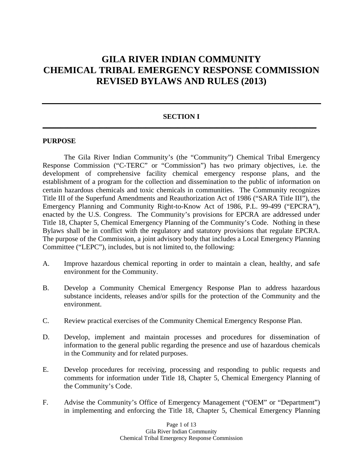# **GILA RIVER INDIAN COMMUNITY CHEMICAL TRIBAL EMERGENCY RESPONSE COMMISSION REVISED BYLAWS AND RULES (2013)**

### **SECTION I \_\_\_\_\_\_\_\_\_\_\_\_\_\_\_\_\_\_\_\_\_\_\_\_\_\_\_\_\_\_\_\_\_\_\_\_\_\_\_\_\_\_\_\_\_\_\_\_\_\_\_\_\_\_\_\_\_\_\_\_\_\_\_\_\_\_\_\_\_\_\_\_\_\_\_\_\_**

#### **PURPOSE**

The Gila River Indian Community's (the "Community") Chemical Tribal Emergency Response Commission ("C-TERC" or "Commission") has two primary objectives, i.e. the development of comprehensive facility chemical emergency response plans, and the establishment of a program for the collection and dissemination to the public of information on certain hazardous chemicals and toxic chemicals in communities. The Community recognizes Title III of the Superfund Amendments and Reauthorization Act of 1986 ("SARA Title III"), the Emergency Planning and Community Right-to-Know Act of 1986, P.L. 99-499 ("EPCRA"), enacted by the U.S. Congress. The Community's provisions for EPCRA are addressed under Title 18, Chapter 5, Chemical Emergency Planning of the Community's Code. Nothing in these Bylaws shall be in conflict with the regulatory and statutory provisions that regulate EPCRA. The purpose of the Commission, a joint advisory body that includes a Local Emergency Planning Committee ("LEPC"), includes, but is not limited to, the following:

- A. Improve hazardous chemical reporting in order to maintain a clean, healthy, and safe environment for the Community.
- B. Develop a Community Chemical Emergency Response Plan to address hazardous substance incidents, releases and/or spills for the protection of the Community and the environment.
- C. Review practical exercises of the Community Chemical Emergency Response Plan.
- D. Develop, implement and maintain processes and procedures for dissemination of information to the general public regarding the presence and use of hazardous chemicals in the Community and for related purposes.
- E. Develop procedures for receiving, processing and responding to public requests and comments for information under Title 18, Chapter 5, Chemical Emergency Planning of the Community's Code.
- F. Advise the Community's Office of Emergency Management ("OEM" or "Department") in implementing and enforcing the Title 18, Chapter 5, Chemical Emergency Planning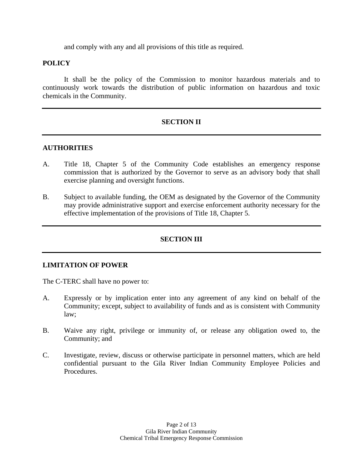and comply with any and all provisions of this title as required.

### **POLICY**

It shall be the policy of the Commission to monitor hazardous materials and to continuously work towards the distribution of public information on hazardous and toxic chemicals in the Community.

# **SECTION II**

#### **AUTHORITIES**

- A. Title 18, Chapter 5 of the Community Code establishes an emergency response commission that is authorized by the Governor to serve as an advisory body that shall exercise planning and oversight functions.
- B. Subject to available funding, the OEM as designated by the Governor of the Community may provide administrative support and exercise enforcement authority necessary for the effective implementation of the provisions of Title 18, Chapter 5.

#### **SECTION III**

#### **LIMITATION OF POWER**

The C-TERC shall have no power to:

- A. Expressly or by implication enter into any agreement of any kind on behalf of the Community; except, subject to availability of funds and as is consistent with Community law;
- B. Waive any right, privilege or immunity of, or release any obligation owed to, the Community; and
- C. Investigate, review, discuss or otherwise participate in personnel matters, which are held confidential pursuant to the Gila River Indian Community Employee Policies and Procedures.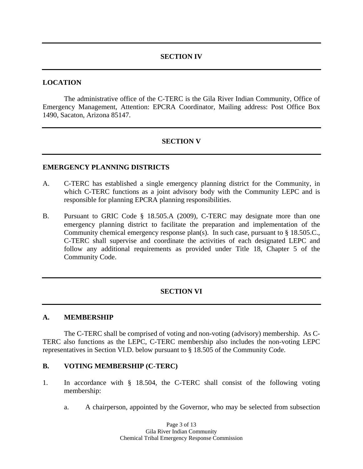### **SECTION IV**

#### **LOCATION**

The administrative office of the C-TERC is the Gila River Indian Community, Office of Emergency Management, Attention: EPCRA Coordinator, Mailing address: Post Office Box 1490, Sacaton, Arizona 85147.

# **SECTION V**

#### **EMERGENCY PLANNING DISTRICTS**

- A. C-TERC has established a single emergency planning district for the Community, in which C-TERC functions as a joint advisory body with the Community LEPC and is responsible for planning EPCRA planning responsibilities.
- B. Pursuant to GRIC Code § 18.505.A (2009), C-TERC may designate more than one emergency planning district to facilitate the preparation and implementation of the Community chemical emergency response plan(s). In such case, pursuant to § 18.505.C., C-TERC shall supervise and coordinate the activities of each designated LEPC and follow any additional requirements as provided under Title 18, Chapter 5 of the Community Code.

#### **SECTION VI**

#### **A. MEMBERSHIP**

The C-TERC shall be comprised of voting and non-voting (advisory) membership. As C-TERC also functions as the LEPC, C-TERC membership also includes the non-voting LEPC representatives in Section VI.D. below pursuant to § 18.505 of the Community Code.

#### **B. VOTING MEMBERSHIP (C-TERC)**

- 1. In accordance with § 18.504, the C-TERC shall consist of the following voting membership:
	- a. A chairperson, appointed by the Governor, who may be selected from subsection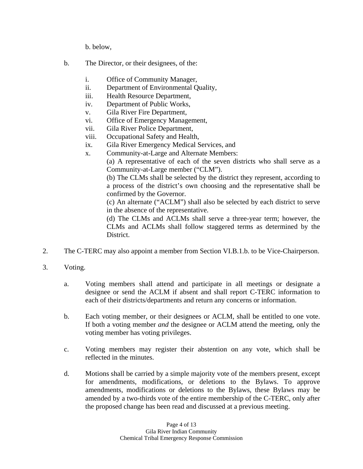b. below,

- b. The Director, or their designees, of the:
	- i. Office of Community Manager,
	- ii. Department of Environmental Quality,
	- iii. Health Resource Department,
	- iv. Department of Public Works,
	- v. Gila River Fire Department,
	- vi. Office of Emergency Management,
	- vii. Gila River Police Department,
	- viii. Occupational Safety and Health,
	- ix. Gila River Emergency Medical Services, and
	- x. Community-at-Large and Alternate Members:

(a) A representative of each of the seven districts who shall serve as a Community-at-Large member ("CLM").

(b) The CLMs shall be selected by the district they represent, according to a process of the district's own choosing and the representative shall be confirmed by the Governor.

(c) An alternate ("ACLM") shall also be selected by each district to serve in the absence of the representative.

(d) The CLMs and ACLMs shall serve a three-year term; however, the CLMs and ACLMs shall follow staggered terms as determined by the District.

- 2. The C-TERC may also appoint a member from Section VI.B.1.b. to be Vice-Chairperson.
- 3. Voting.
	- a. Voting members shall attend and participate in all meetings or designate a designee or send the ACLM if absent and shall report C-TERC information to each of their districts/departments and return any concerns or information.
	- b. Each voting member, or their designees or ACLM, shall be entitled to one vote. If both a voting member *and* the designee or ACLM attend the meeting, only the voting member has voting privileges.
	- c. Voting members may register their abstention on any vote, which shall be reflected in the minutes.
	- d. Motions shall be carried by a simple majority vote of the members present, except for amendments, modifications, or deletions to the Bylaws. To approve amendments, modifications or deletions to the Bylaws, these Bylaws may be amended by a two-thirds vote of the entire membership of the C-TERC, only after the proposed change has been read and discussed at a previous meeting.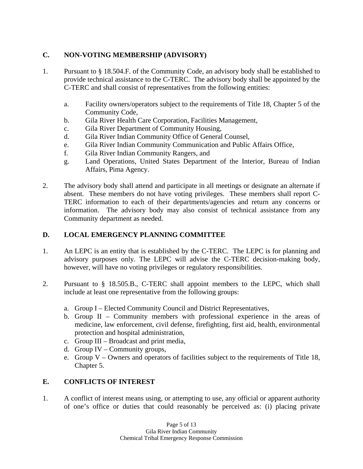# **C. NON-VOTING MEMBERSHIP (ADVISORY)**

- 1. Pursuant to § 18.504.F. of the Community Code, an advisory body shall be established to provide technical assistance to the C-TERC. The advisory body shall be appointed by the C-TERC and shall consist of representatives from the following entities:
	- a. Facility owners/operators subject to the requirements of Title 18, Chapter 5 of the Community Code,
	- b. Gila River Health Care Corporation, Facilities Management,
	- c. Gila River Department of Community Housing,
	- d. Gila River Indian Community Office of General Counsel,
	- e. Gila River Indian Community Communication and Public Affairs Office,
	- f. Gila River Indian Community Rangers, and
	- g. Land Operations, United States Department of the Interior, Bureau of Indian Affairs, Pima Agency.
- 2. The advisory body shall attend and participate in all meetings or designate an alternate if absent. These members do not have voting privileges. These members shall report C-TERC information to each of their departments/agencies and return any concerns or information. The advisory body may also consist of technical assistance from any Community department as needed.

# **D. LOCAL EMERGENCY PLANNING COMMITTEE**

- 1. An LEPC is an entity that is established by the C-TERC. The LEPC is for planning and advisory purposes only. The LEPC will advise the C-TERC decision-making body, however, will have no voting privileges or regulatory responsibilities.
- 2. Pursuant to § 18.505.B., C-TERC shall appoint members to the LEPC, which shall include at least one representative from the following groups:
	- a. Group I Elected Community Council and District Representatives,
	- b. Group II Community members with professional experience in the areas of medicine, law enforcement, civil defense, firefighting, first aid, health, environmental protection and hospital administration,
	- c. Group III Broadcast and print media,
	- d. Group IV Community groups,
	- e. Group  $V -$  Owners and operators of facilities subject to the requirements of Title 18, Chapter 5.

# **E. CONFLICTS OF INTEREST**

1. A conflict of interest means using, or attempting to use, any official or apparent authority of one's office or duties that could reasonably be perceived as: (i) placing private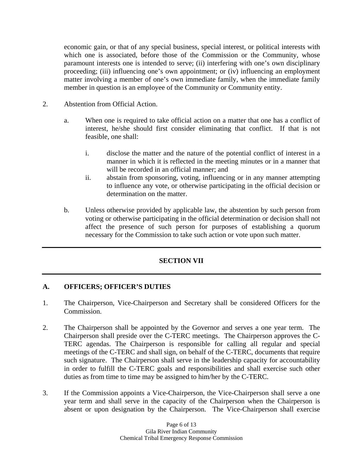economic gain, or that of any special business, special interest, or political interests with which one is associated, before those of the Commission or the Community, whose paramount interests one is intended to serve; (ii) interfering with one's own disciplinary proceeding; (iii) influencing one's own appointment; or (iv) influencing an employment matter involving a member of one's own immediate family, when the immediate family member in question is an employee of the Community or Community entity.

- 2. Abstention from Official Action.
	- a. When one is required to take official action on a matter that one has a conflict of interest, he/she should first consider eliminating that conflict. If that is not feasible, one shall:
		- i. disclose the matter and the nature of the potential conflict of interest in a manner in which it is reflected in the meeting minutes or in a manner that will be recorded in an official manner; and
		- ii. abstain from sponsoring, voting, influencing or in any manner attempting to influence any vote, or otherwise participating in the official decision or determination on the matter.
	- b. Unless otherwise provided by applicable law, the abstention by such person from voting or otherwise participating in the official determination or decision shall not affect the presence of such person for purposes of establishing a quorum necessary for the Commission to take such action or vote upon such matter.

# **SECTION VII**

# **A. OFFICERS; OFFICER'S DUTIES**

- 1. The Chairperson, Vice-Chairperson and Secretary shall be considered Officers for the Commission.
- 2. The Chairperson shall be appointed by the Governor and serves a one year term. The Chairperson shall preside over the C-TERC meetings. The Chairperson approves the C-TERC agendas. The Chairperson is responsible for calling all regular and special meetings of the C-TERC and shall sign, on behalf of the C-TERC, documents that require such signature. The Chairperson shall serve in the leadership capacity for accountability in order to fulfill the C-TERC goals and responsibilities and shall exercise such other duties as from time to time may be assigned to him/her by the C-TERC.
- 3. If the Commission appoints a Vice-Chairperson, the Vice-Chairperson shall serve a one year term and shall serve in the capacity of the Chairperson when the Chairperson is absent or upon designation by the Chairperson. The Vice-Chairperson shall exercise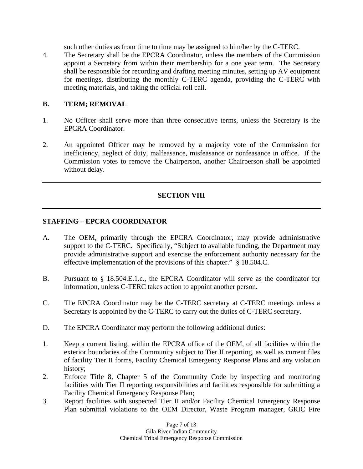such other duties as from time to time may be assigned to him/her by the C-TERC.

4. The Secretary shall be the EPCRA Coordinator, unless the members of the Commission appoint a Secretary from within their membership for a one year term. The Secretary shall be responsible for recording and drafting meeting minutes, setting up AV equipment for meetings, distributing the monthly C-TERC agenda, providing the C-TERC with meeting materials, and taking the official roll call.

# **B. TERM; REMOVAL**

- 1. No Officer shall serve more than three consecutive terms, unless the Secretary is the EPCRA Coordinator.
- 2. An appointed Officer may be removed by a majority vote of the Commission for inefficiency, neglect of duty, malfeasance, misfeasance or nonfeasance in office. If the Commission votes to remove the Chairperson, another Chairperson shall be appointed without delay.

# **SECTION VIII**

### **STAFFING – EPCRA COORDINATOR**

- A. The OEM, primarily through the EPCRA Coordinator, may provide administrative support to the C-TERC. Specifically, "Subject to available funding, the Department may provide administrative support and exercise the enforcement authority necessary for the effective implementation of the provisions of this chapter." § 18.504.C.
- B. Pursuant to § 18.504.E.1.c., the EPCRA Coordinator will serve as the coordinator for information, unless C-TERC takes action to appoint another person.
- C. The EPCRA Coordinator may be the C-TERC secretary at C-TERC meetings unless a Secretary is appointed by the C-TERC to carry out the duties of C-TERC secretary.
- D. The EPCRA Coordinator may perform the following additional duties:
- 1. Keep a current listing, within the EPCRA office of the OEM, of all facilities within the exterior boundaries of the Community subject to Tier II reporting, as well as current files of facility Tier II forms, Facility Chemical Emergency Response Plans and any violation history;
- 2. Enforce Title 8, Chapter 5 of the Community Code by inspecting and monitoring facilities with Tier II reporting responsibilities and facilities responsible for submitting a Facility Chemical Emergency Response Plan;
- 3. Report facilities with suspected Tier II and/or Facility Chemical Emergency Response Plan submittal violations to the OEM Director, Waste Program manager, GRIC Fire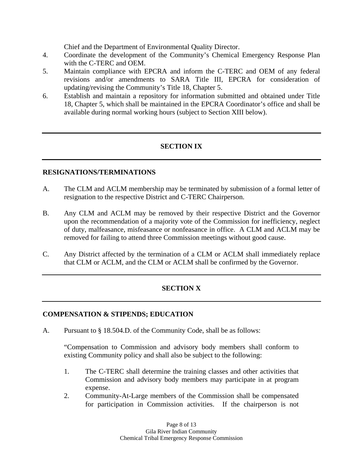Chief and the Department of Environmental Quality Director.

- 4. Coordinate the development of the Community's Chemical Emergency Response Plan with the C-TERC and OEM.
- 5. Maintain compliance with EPCRA and inform the C-TERC and OEM of any federal revisions and/or amendments to SARA Title III, EPCRA for consideration of updating/revising the Community's Title 18, Chapter 5.
- 6. Establish and maintain a repository for information submitted and obtained under Title 18, Chapter 5, which shall be maintained in the EPCRA Coordinator's office and shall be available during normal working hours (subject to Section XIII below).

# **SECTION IX**

### **RESIGNATIONS/TERMINATIONS**

- A. The CLM and ACLM membership may be terminated by submission of a formal letter of resignation to the respective District and C-TERC Chairperson.
- B. Any CLM and ACLM may be removed by their respective District and the Governor upon the recommendation of a majority vote of the Commission for inefficiency, neglect of duty, malfeasance, misfeasance or nonfeasance in office. A CLM and ACLM may be removed for failing to attend three Commission meetings without good cause.
- C. Any District affected by the termination of a CLM or ACLM shall immediately replace that CLM or ACLM, and the CLM or ACLM shall be confirmed by the Governor.

# **SECTION X**

#### **COMPENSATION & STIPENDS; EDUCATION**

A. Pursuant to § 18.504.D. of the Community Code, shall be as follows:

"Compensation to Commission and advisory body members shall conform to existing Community policy and shall also be subject to the following:

- 1. The C-TERC shall determine the training classes and other activities that Commission and advisory body members may participate in at program expense.
- 2. Community-At-Large members of the Commission shall be compensated for participation in Commission activities. If the chairperson is not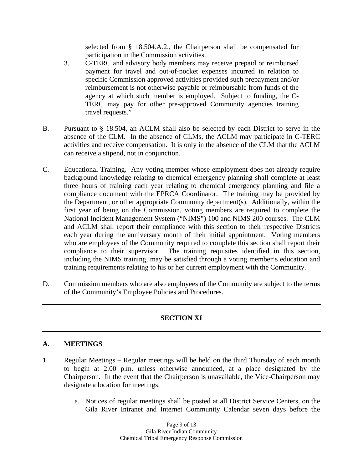selected from § 18.504.A.2., the Chairperson shall be compensated for participation in the Commission activities.

- 3. C-TERC and advisory body members may receive prepaid or reimbursed payment for travel and out-of-pocket expenses incurred in relation to specific Commission approved activities provided such prepayment and/or reimbursement is not otherwise payable or reimbursable from funds of the agency at which such member is employed. Subject to funding, the C-TERC may pay for other pre-approved Community agencies training travel requests."
- B. Pursuant to § 18.504, an ACLM shall also be selected by each District to serve in the absence of the CLM. In the absence of CLMs, the ACLM may participate in C-TERC activities and receive compensation. It is only in the absence of the CLM that the ACLM can receive a stipend, not in conjunction.
- C. Educational Training. Any voting member whose employment does not already require background knowledge relating to chemical emergency planning shall complete at least three hours of training each year relating to chemical emergency planning and file a compliance document with the EPRCA Coordinator. The training may be provided by the Department, or other appropriate Community department(s). Additionally, within the first year of being on the Commission, voting members are required to complete the National Incident Management System ("NIMS") 100 and NIMS 200 courses. The CLM and ACLM shall report their compliance with this section to their respective Districts each year during the anniversary month of their initial appointment. Voting members who are employees of the Community required to complete this section shall report their compliance to their supervisor. The training requisites identified in this section, The training requisites identified in this section, including the NIMS training, may be satisfied through a voting member's education and training requirements relating to his or her current employment with the Community.
- D. Commission members who are also employees of the Community are subject to the terms of the Community's Employee Policies and Procedures.

# **SECTION XI**

# **A. MEETINGS**

- 1. Regular Meetings Regular meetings will be held on the third Thursday of each month to begin at 2:00 p.m. unless otherwise announced, at a place designated by the Chairperson. In the event that the Chairperson is unavailable, the Vice-Chairperson may designate a location for meetings.
	- a. Notices of regular meetings shall be posted at all District Service Centers, on the Gila River Intranet and Internet Community Calendar seven days before the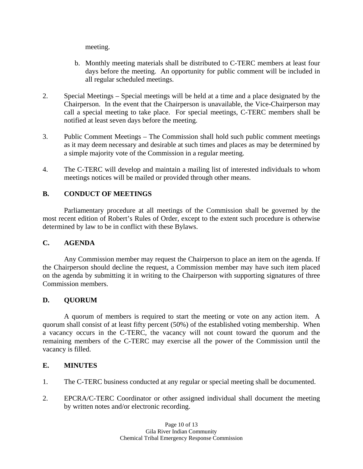meeting.

- b. Monthly meeting materials shall be distributed to C-TERC members at least four days before the meeting. An opportunity for public comment will be included in all regular scheduled meetings.
- 2. Special Meetings Special meetings will be held at a time and a place designated by the Chairperson. In the event that the Chairperson is unavailable, the Vice-Chairperson may call a special meeting to take place. For special meetings, C-TERC members shall be notified at least seven days before the meeting.
- 3. Public Comment Meetings The Commission shall hold such public comment meetings as it may deem necessary and desirable at such times and places as may be determined by a simple majority vote of the Commission in a regular meeting.
- 4. The C-TERC will develop and maintain a mailing list of interested individuals to whom meetings notices will be mailed or provided through other means.

# **B. CONDUCT OF MEETINGS**

Parliamentary procedure at all meetings of the Commission shall be governed by the most recent edition of Robert's Rules of Order, except to the extent such procedure is otherwise determined by law to be in conflict with these Bylaws.

# **C. AGENDA**

Any Commission member may request the Chairperson to place an item on the agenda. If the Chairperson should decline the request, a Commission member may have such item placed on the agenda by submitting it in writing to the Chairperson with supporting signatures of three Commission members.

# **D. QUORUM**

A quorum of members is required to start the meeting or vote on any action item. A quorum shall consist of at least fifty percent (50%) of the established voting membership. When a vacancy occurs in the C-TERC, the vacancy will not count toward the quorum and the remaining members of the C-TERC may exercise all the power of the Commission until the vacancy is filled.

# **E. MINUTES**

- 1. The C-TERC business conducted at any regular or special meeting shall be documented.
- 2. EPCRA/C-TERC Coordinator or other assigned individual shall document the meeting by written notes and/or electronic recording.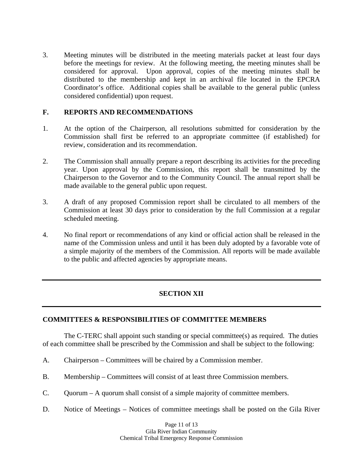3. Meeting minutes will be distributed in the meeting materials packet at least four days before the meetings for review. At the following meeting, the meeting minutes shall be considered for approval. Upon approval, copies of the meeting minutes shall be distributed to the membership and kept in an archival file located in the EPCRA Coordinator's office. Additional copies shall be available to the general public (unless considered confidential) upon request.

# **F. REPORTS AND RECOMMENDATIONS**

- 1. At the option of the Chairperson, all resolutions submitted for consideration by the Commission shall first be referred to an appropriate committee (if established) for review, consideration and its recommendation.
- 2. The Commission shall annually prepare a report describing its activities for the preceding year. Upon approval by the Commission, this report shall be transmitted by the Chairperson to the Governor and to the Community Council. The annual report shall be made available to the general public upon request.
- 3. A draft of any proposed Commission report shall be circulated to all members of the Commission at least 30 days prior to consideration by the full Commission at a regular scheduled meeting.
- 4. No final report or recommendations of any kind or official action shall be released in the name of the Commission unless and until it has been duly adopted by a favorable vote of a simple majority of the members of the Commission. All reports will be made available to the public and affected agencies by appropriate means.

# **SECTION XII**

#### **COMMITTEES & RESPONSIBILITIES OF COMMITTEE MEMBERS**

The C-TERC shall appoint such standing or special committee(s) as required. The duties of each committee shall be prescribed by the Commission and shall be subject to the following:

- A. Chairperson Committees will be chaired by a Commission member.
- B. Membership Committees will consist of at least three Commission members.
- C. Quorum A quorum shall consist of a simple majority of committee members.
- D. Notice of Meetings Notices of committee meetings shall be posted on the Gila River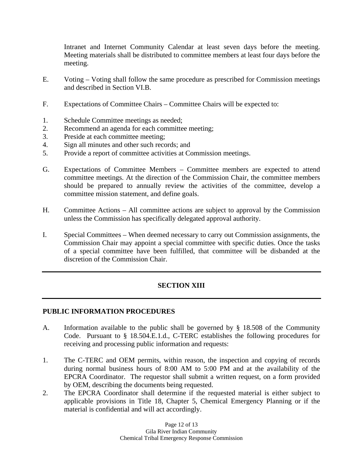Intranet and Internet Community Calendar at least seven days before the meeting. Meeting materials shall be distributed to committee members at least four days before the meeting.

- E. Voting Voting shall follow the same procedure as prescribed for Commission meetings and described in Section VI.B.
- F. Expectations of Committee Chairs Committee Chairs will be expected to:
- 1. Schedule Committee meetings as needed;
- 2. Recommend an agenda for each committee meeting;
- 3. Preside at each committee meeting;
- 4. Sign all minutes and other such records; and
- 5. Provide a report of committee activities at Commission meetings.
- G. Expectations of Committee Members Committee members are expected to attend committee meetings. At the direction of the Commission Chair, the committee members should be prepared to annually review the activities of the committee, develop a committee mission statement, and define goals.
- H. Committee Actions All committee actions are subject to approval by the Commission unless the Commission has specifically delegated approval authority.
- I. Special Committees When deemed necessary to carry out Commission assignments, the Commission Chair may appoint a special committee with specific duties. Once the tasks of a special committee have been fulfilled, that committee will be disbanded at the discretion of the Commission Chair.

# **SECTION XIII**

# **PUBLIC INFORMATION PROCEDURES**

- A. Information available to the public shall be governed by § 18.508 of the Community Code. Pursuant to § 18.504.E.1.d., C-TERC establishes the following procedures for receiving and processing public information and requests:
- 1. The C-TERC and OEM permits, within reason, the inspection and copying of records during normal business hours of 8:00 AM to 5:00 PM and at the availability of the EPCRA Coordinator. The requestor shall submit a written request, on a form provided by OEM, describing the documents being requested.
- 2. The EPCRA Coordinator shall determine if the requested material is either subject to applicable provisions in Title 18, Chapter 5, Chemical Emergency Planning or if the material is confidential and will act accordingly.